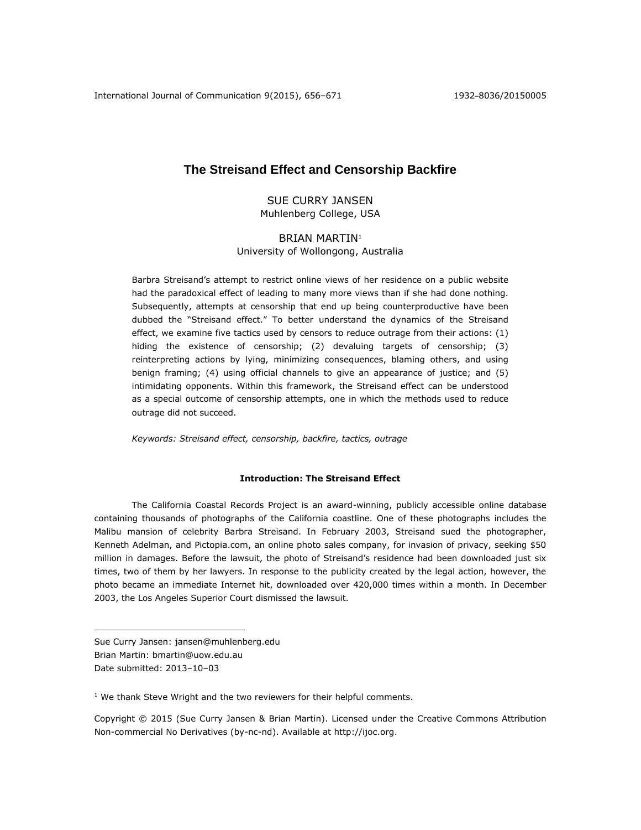# **The Streisand Effect and Censorship Backfire**

SUE CURRY JANSEN Muhlenberg College, USA

# BRIAN MARTIN<sup>1</sup>

University of Wollongong, Australia

Barbra Streisand's attempt to restrict online views of her residence on a public website had the paradoxical effect of leading to many more views than if she had done nothing. Subsequently, attempts at censorship that end up being counterproductive have been dubbed the "Streisand effect." To better understand the dynamics of the Streisand effect, we examine five tactics used by censors to reduce outrage from their actions: (1) hiding the existence of censorship; (2) devaluing targets of censorship; (3) reinterpreting actions by lying, minimizing consequences, blaming others, and using benign framing; (4) using official channels to give an appearance of justice; and (5) intimidating opponents. Within this framework, the Streisand effect can be understood as a special outcome of censorship attempts, one in which the methods used to reduce outrage did not succeed.

*Keywords: Streisand effect, censorship, backfire, tactics, outrage*

# **Introduction: The Streisand Effect**

The California Coastal Records Project is an award-winning, publicly accessible online database containing thousands of photographs of the California coastline. One of these photographs includes the Malibu mansion of celebrity Barbra Streisand. In February 2003, Streisand sued the photographer, Kenneth Adelman, and Pictopia.com, an online photo sales company, for invasion of privacy, seeking \$50 million in damages. Before the lawsuit, the photo of Streisand's residence had been downloaded just six times, two of them by her lawyers. In response to the publicity created by the legal action, however, the photo became an immediate Internet hit, downloaded over 420,000 times within a month. In December 2003, the Los Angeles Superior Court dismissed the lawsuit.

Sue Curry Jansen: [jansen@muhlenberg.edu](mailto:jansen@muhlenberg.edu) Brian Martin: [bmartin@uow.edu.au](mailto:bmartin@uow.edu.au) Date submitted: 2013–10–03

 $\overline{a}$ 

 $1$  We thank Steve Wright and the two reviewers for their helpful comments.

Copyright © 2015 (Sue Curry Jansen & Brian Martin). Licensed under the Creative Commons Attribution Non-commercial No Derivatives (by-nc-nd). Available at [http://ijoc.org.](http://ijoc.org/)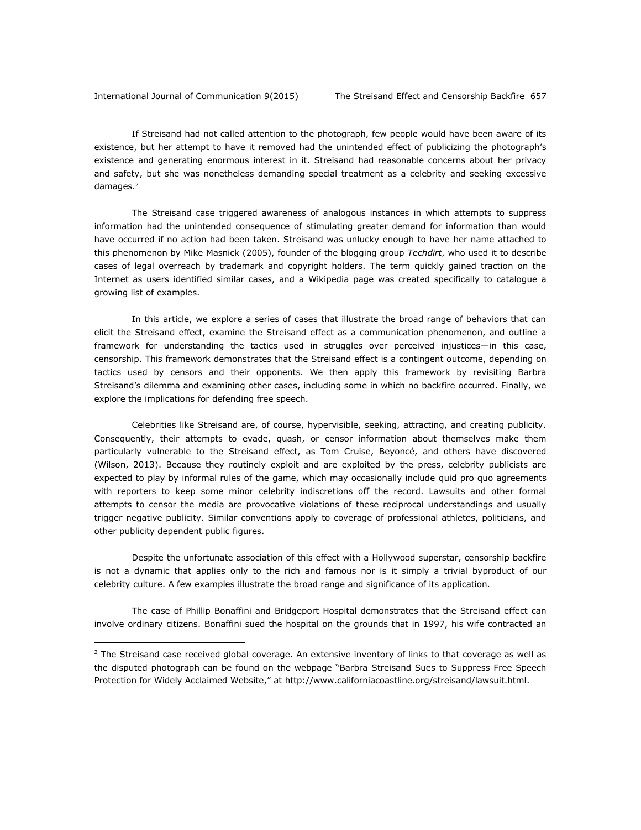$\overline{a}$ 

If Streisand had not called attention to the photograph, few people would have been aware of its existence, but her attempt to have it removed had the unintended effect of publicizing the photograph's existence and generating enormous interest in it. Streisand had reasonable concerns about her privacy and safety, but she was nonetheless demanding special treatment as a celebrity and seeking excessive damages.<sup>2</sup>

The Streisand case triggered awareness of analogous instances in which attempts to suppress information had the unintended consequence of stimulating greater demand for information than would have occurred if no action had been taken. Streisand was unlucky enough to have her name attached to this phenomenon by Mike Masnick (2005), founder of the blogging group *Techdirt*, who used it to describe cases of legal overreach by trademark and copyright holders. The term quickly gained traction on the Internet as users identified similar cases, and a Wikipedia page was created specifically to catalogue a growing list of examples.

In this article, we explore a series of cases that illustrate the broad range of behaviors that can elicit the Streisand effect, examine the Streisand effect as a communication phenomenon, and outline a framework for understanding the tactics used in struggles over perceived injustices—in this case, censorship. This framework demonstrates that the Streisand effect is a contingent outcome, depending on tactics used by censors and their opponents. We then apply this framework by revisiting Barbra Streisand's dilemma and examining other cases, including some in which no backfire occurred. Finally, we explore the implications for defending free speech.

Celebrities like Streisand are, of course, hypervisible, seeking, attracting, and creating publicity. Consequently, their attempts to evade, quash, or censor information about themselves make them particularly vulnerable to the Streisand effect, as Tom Cruise, Beyoncé, and others have discovered (Wilson, 2013). Because they routinely exploit and are exploited by the press, celebrity publicists are expected to play by informal rules of the game, which may occasionally include quid pro quo agreements with reporters to keep some minor celebrity indiscretions off the record. Lawsuits and other formal attempts to censor the media are provocative violations of these reciprocal understandings and usually trigger negative publicity. Similar conventions apply to coverage of professional athletes, politicians, and other publicity dependent public figures.

Despite the unfortunate association of this effect with a Hollywood superstar, censorship backfire is not a dynamic that applies only to the rich and famous nor is it simply a trivial byproduct of our celebrity culture. A few examples illustrate the broad range and significance of its application.

The case of Phillip Bonaffini and Bridgeport Hospital demonstrates that the Streisand effect can involve ordinary citizens. Bonaffini sued the hospital on the grounds that in 1997, his wife contracted an

 $2$  The Streisand case received global coverage. An extensive inventory of links to that coverage as well as the disputed photograph can be found on the webpage "Barbra Streisand Sues to Suppress Free Speech Protection for Widely Acclaimed Website," at [http://www.californiacoastline.org/streisand/lawsuit.html.](http://www.californiacoastline.org/streisand/lawsuit.html)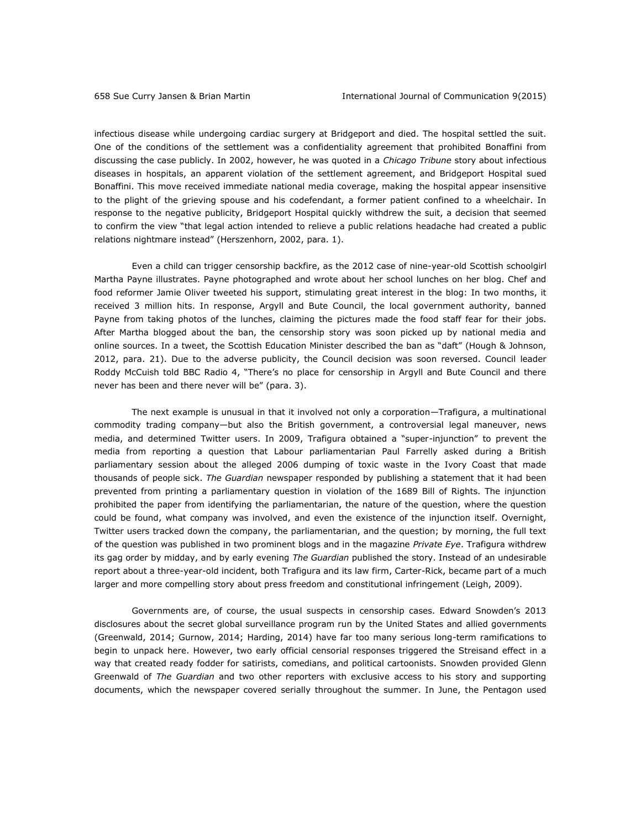infectious disease while undergoing cardiac surgery at Bridgeport and died. The hospital settled the suit. One of the conditions of the settlement was a confidentiality agreement that prohibited Bonaffini from discussing the case publicly. In 2002, however, he was quoted in a *Chicago Tribune* story about infectious diseases in hospitals, an apparent violation of the settlement agreement, and Bridgeport Hospital sued Bonaffini. This move received immediate national media coverage, making the hospital appear insensitive to the plight of the grieving spouse and his codefendant, a former patient confined to a wheelchair. In response to the negative publicity, Bridgeport Hospital quickly withdrew the suit, a decision that seemed to confirm the view "that legal action intended to relieve a public relations headache had created a public relations nightmare instead" (Herszenhorn, 2002, para. 1).

Even a child can trigger censorship backfire, as the 2012 case of nine-year-old Scottish schoolgirl Martha Payne illustrates. Payne photographed and wrote about her school lunches on her blog. Chef and food reformer Jamie Oliver tweeted his support, stimulating great interest in the blog: In two months, it received 3 million hits. In response, Argyll and Bute Council, the local government authority, banned Payne from taking photos of the lunches, claiming the pictures made the food staff fear for their jobs. After Martha blogged about the ban, the censorship story was soon picked up by national media and online sources. In a tweet, the Scottish Education Minister described the ban as "daft" (Hough & Johnson, 2012, para. 21). Due to the adverse publicity, the Council decision was soon reversed. Council leader Roddy McCuish told BBC Radio 4, "There's no place for censorship in Argyll and Bute Council and there never has been and there never will be" (para. 3).

The next example is unusual in that it involved not only a corporation—Trafigura, a multinational commodity trading company—but also the British government, a controversial legal maneuver, news media, and determined Twitter users. In 2009, Trafigura obtained a "super-injunction" to prevent the media from reporting a question that Labour parliamentarian Paul Farrelly asked during a British parliamentary session about the alleged 2006 dumping of toxic waste in the Ivory Coast that made thousands of people sick. *The Guardian* newspaper responded by publishing a statement that it had been prevented from printing a parliamentary question in violation of the 1689 Bill of Rights. The injunction prohibited the paper from identifying the parliamentarian, the nature of the question, where the question could be found, what company was involved, and even the existence of the injunction itself. Overnight, Twitter users tracked down the company, the parliamentarian, and the question; by morning, the full text of the question was published in two prominent blogs and in the magazine *Private Eye*. Trafigura withdrew its gag order by midday, and by early evening *The Guardian* published the story. Instead of an undesirable report about a three-year-old incident, both Trafigura and its law firm, Carter-Rick, became part of a much larger and more compelling story about press freedom and constitutional infringement (Leigh, 2009).

Governments are, of course, the usual suspects in censorship cases. Edward Snowden's 2013 disclosures about the secret global surveillance program run by the United States and allied governments (Greenwald, 2014; Gurnow, 2014; Harding, 2014) have far too many serious long-term ramifications to begin to unpack here. However, two early official censorial responses triggered the Streisand effect in a way that created ready fodder for satirists, comedians, and political cartoonists. Snowden provided Glenn Greenwald of *The Guardian* and two other reporters with exclusive access to his story and supporting documents, which the newspaper covered serially throughout the summer. In June, the Pentagon used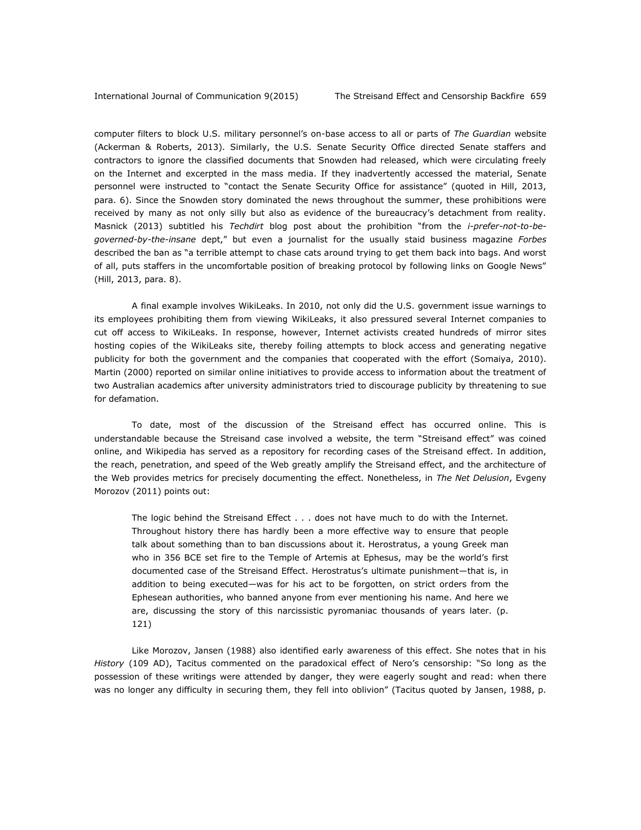computer filters to block U.S. military personnel's on-base access to all or parts of *The Guardian* website (Ackerman & Roberts, 2013). Similarly, the U.S. Senate Security Office directed Senate staffers and contractors to ignore the classified documents that Snowden had released, which were circulating freely on the Internet and excerpted in the mass media. If they inadvertently accessed the material, Senate personnel were instructed to "contact the Senate Security Office for assistance" (quoted in Hill, 2013, para. 6). Since the Snowden story dominated the news throughout the summer, these prohibitions were received by many as not only silly but also as evidence of the bureaucracy's detachment from reality. Masnick (2013) subtitled his *Techdirt* blog post about the prohibition "from the *i-prefer-not-to-begoverned-by-the-insane* dept," but even a journalist for the usually staid business magazine *Forbes* described the ban as "a terrible attempt to chase cats around trying to get them back into bags. And worst of all, puts staffers in the uncomfortable position of breaking protocol by following links on Google News" (Hill, 2013, para. 8).

A final example involves WikiLeaks. In 2010, not only did the U.S. government issue warnings to its employees prohibiting them from viewing WikiLeaks, it also pressured several Internet companies to cut off access to WikiLeaks. In response, however, Internet activists created hundreds of mirror sites hosting copies of the WikiLeaks site, thereby foiling attempts to block access and generating negative publicity for both the government and the companies that cooperated with the effort (Somaiya, 2010). Martin (2000) reported on similar online initiatives to provide access to information about the treatment of two Australian academics after university administrators tried to discourage publicity by threatening to sue for defamation.

To date, most of the discussion of the Streisand effect has occurred online. This is understandable because the Streisand case involved a website, the term "Streisand effect" was coined online, and Wikipedia has served as a repository for recording cases of the Streisand effect. In addition, the reach, penetration, and speed of the Web greatly amplify the Streisand effect, and the architecture of the Web provides metrics for precisely documenting the effect. Nonetheless, in *The Net Delusion*, Evgeny Morozov (2011) points out:

The logic behind the Streisand Effect . . . does not have much to do with the Internet. Throughout history there has hardly been a more effective way to ensure that people talk about something than to ban discussions about it. Herostratus, a young Greek man who in 356 BCE set fire to the Temple of Artemis at Ephesus, may be the world's first documented case of the Streisand Effect. Herostratus's ultimate punishment—that is, in addition to being executed—was for his act to be forgotten, on strict orders from the Ephesean authorities, who banned anyone from ever mentioning his name. And here we are, discussing the story of this narcissistic pyromaniac thousands of years later. (p. 121)

Like Morozov, Jansen (1988) also identified early awareness of this effect. She notes that in his *History* (109 AD), Tacitus commented on the paradoxical effect of Nero's censorship: "So long as the possession of these writings were attended by danger, they were eagerly sought and read: when there was no longer any difficulty in securing them, they fell into oblivion" (Tacitus quoted by Jansen, 1988, p.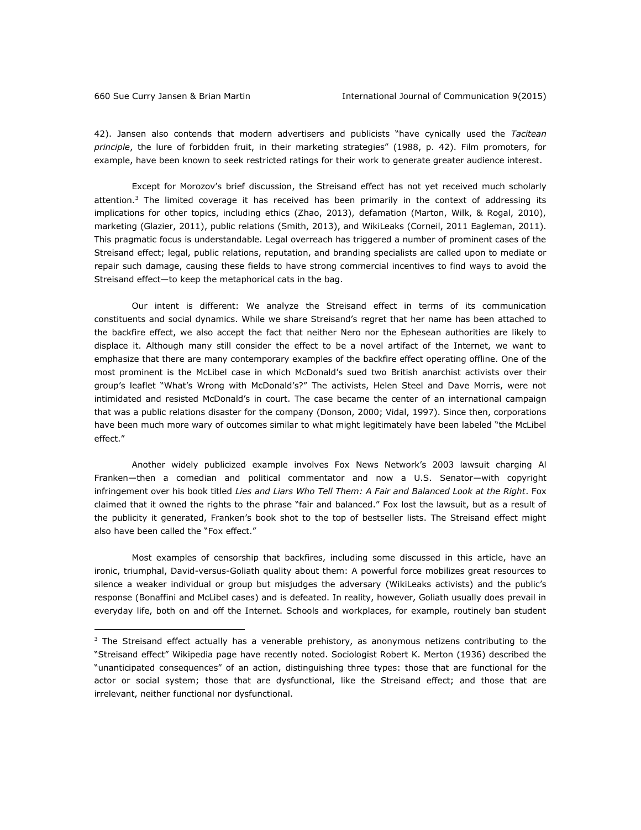$\overline{a}$ 

42). Jansen also contends that modern advertisers and publicists "have cynically used the *Tacitean principle*, the lure of forbidden fruit, in their marketing strategies" (1988, p. 42). Film promoters, for example, have been known to seek restricted ratings for their work to generate greater audience interest.

Except for Morozov's brief discussion, the Streisand effect has not yet received much scholarly attention.<sup>3</sup> The limited coverage it has received has been primarily in the context of addressing its implications for other topics, including ethics (Zhao, 2013), defamation (Marton, Wilk, & Rogal, 2010), marketing (Glazier, 2011), public relations (Smith, 2013), and WikiLeaks (Corneil, 2011 Eagleman, 2011). This pragmatic focus is understandable. Legal overreach has triggered a number of prominent cases of the Streisand effect; legal, public relations, reputation, and branding specialists are called upon to mediate or repair such damage, causing these fields to have strong commercial incentives to find ways to avoid the Streisand effect—to keep the metaphorical cats in the bag.

Our intent is different: We analyze the Streisand effect in terms of its communication constituents and social dynamics. While we share Streisand's regret that her name has been attached to the backfire effect, we also accept the fact that neither Nero nor the Ephesean authorities are likely to displace it. Although many still consider the effect to be a novel artifact of the Internet, we want to emphasize that there are many contemporary examples of the backfire effect operating offline. One of the most prominent is the McLibel case in which McDonald's sued two British anarchist activists over their group's leaflet "What's Wrong with McDonald's?" The activists, Helen Steel and Dave Morris, were not intimidated and resisted McDonald's in court. The case became the center of an international campaign that was a public relations disaster for the company (Donson, 2000; Vidal, 1997). Since then, corporations have been much more wary of outcomes similar to what might legitimately have been labeled "the McLibel effect."

Another widely publicized example involves Fox News Network's 2003 lawsuit charging Al Franken—then a comedian and political commentator and now a U.S. Senator—with copyright infringement over his book titled *Lies and Liars Who Tell Them: A Fair and Balanced Look at the Right*. Fox claimed that it owned the rights to the phrase "fair and balanced." Fox lost the lawsuit, but as a result of the publicity it generated, Franken's book shot to the top of bestseller lists. The Streisand effect might also have been called the "Fox effect."

Most examples of censorship that backfires, including some discussed in this article, have an ironic, triumphal, David-versus-Goliath quality about them: A powerful force mobilizes great resources to silence a weaker individual or group but misjudges the adversary (WikiLeaks activists) and the public's response (Bonaffini and McLibel cases) and is defeated. In reality, however, Goliath usually does prevail in everyday life, both on and off the Internet. Schools and workplaces, for example, routinely ban student

 $3$  The Streisand effect actually has a venerable prehistory, as anonymous netizens contributing to the "Streisand effect" Wikipedia page have recently noted. Sociologist Robert K. Merton (1936) described the "unanticipated consequences" of an action, distinguishing three types: those that are functional for the actor or social system; those that are dysfunctional, like the Streisand effect; and those that are irrelevant, neither functional nor dysfunctional.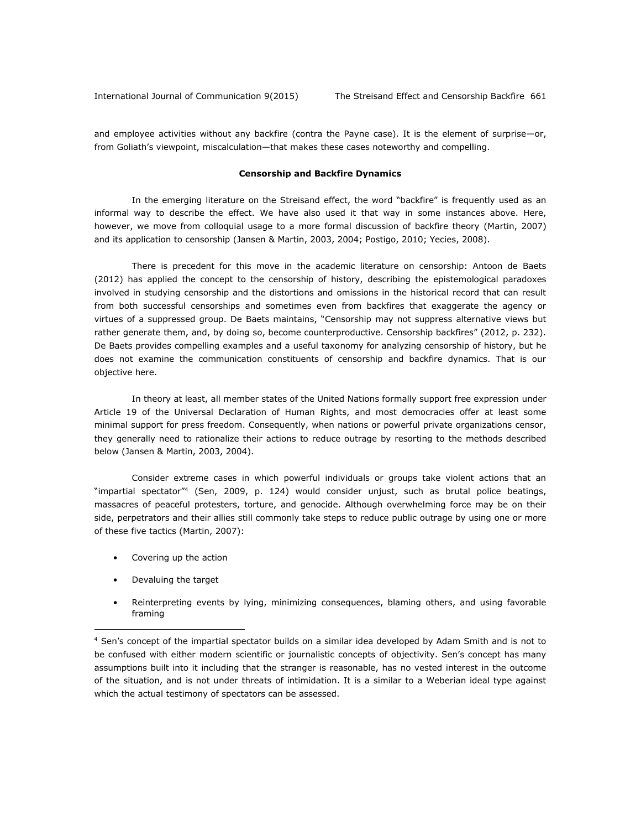and employee activities without any backfire (contra the Payne case). It is the element of surprise—or, from Goliath's viewpoint, miscalculation—that makes these cases noteworthy and compelling.

## **Censorship and Backfire Dynamics**

In the emerging literature on the Streisand effect, the word "backfire" is frequently used as an informal way to describe the effect. We have also used it that way in some instances above. Here, however, we move from colloquial usage to a more formal discussion of backfire theory (Martin, 2007) and its application to censorship (Jansen & Martin, 2003, 2004; Postigo, 2010; Yecies, 2008).

There is precedent for this move in the academic literature on censorship: Antoon de Baets (2012) has applied the concept to the censorship of history, describing the epistemological paradoxes involved in studying censorship and the distortions and omissions in the historical record that can result from both successful censorships and sometimes even from backfires that exaggerate the agency or virtues of a suppressed group. De Baets maintains, "Censorship may not suppress alternative views but rather generate them, and, by doing so, become counterproductive. Censorship backfires" (2012, p. 232). De Baets provides compelling examples and a useful taxonomy for analyzing censorship of history, but he does not examine the communication constituents of censorship and backfire dynamics. That is our objective here.

In theory at least, all member states of the United Nations formally support free expression under Article 19 of the Universal Declaration of Human Rights, and most democracies offer at least some minimal support for press freedom. Consequently, when nations or powerful private organizations censor, they generally need to rationalize their actions to reduce outrage by resorting to the methods described below (Jansen & Martin, 2003, 2004).

Consider extreme cases in which powerful individuals or groups take violent actions that an "impartial spectator"<sup>4</sup> (Sen, 2009, p. 124) would consider unjust, such as brutal police beatings, massacres of peaceful protesters, torture, and genocide. Although overwhelming force may be on their side, perpetrators and their allies still commonly take steps to reduce public outrage by using one or more of these five tactics (Martin, 2007):

- Covering up the action
- Devaluing the target

 $\overline{a}$ 

• Reinterpreting events by lying, minimizing consequences, blaming others, and using favorable framing

<sup>4</sup> Sen's concept of the impartial spectator builds on a similar idea developed by Adam Smith and is not to be confused with either modern scientific or journalistic concepts of objectivity. Sen's concept has many assumptions built into it including that the stranger is reasonable, has no vested interest in the outcome of the situation, and is not under threats of intimidation. It is a similar to a Weberian ideal type against which the actual testimony of spectators can be assessed.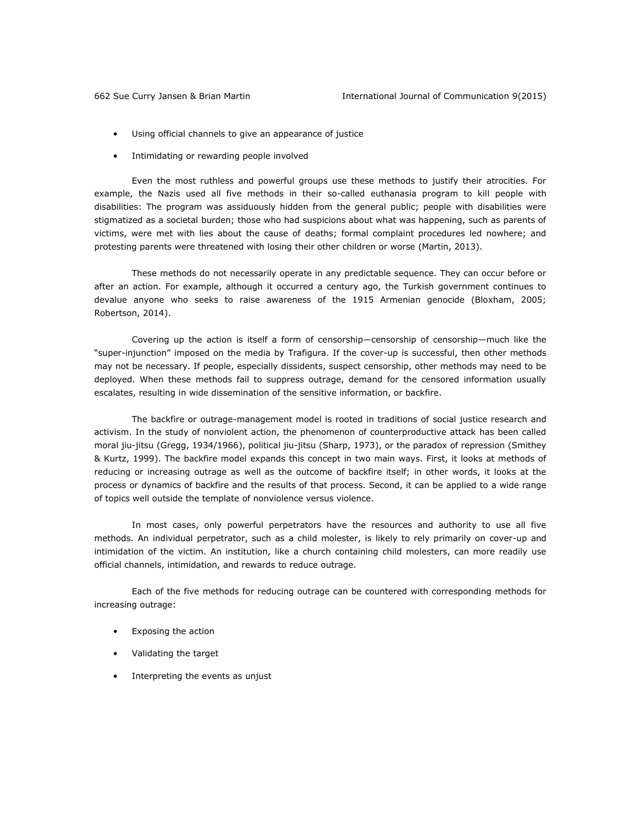- Using official channels to give an appearance of justice
- Intimidating or rewarding people involved

Even the most ruthless and powerful groups use these methods to justify their atrocities. For example, the Nazis used all five methods in their so-called euthanasia program to kill people with disabilities: The program was assiduously hidden from the general public; people with disabilities were stigmatized as a societal burden; those who had suspicions about what was happening, such as parents of victims, were met with lies about the cause of deaths; formal complaint procedures led nowhere; and protesting parents were threatened with losing their other children or worse (Martin, 2013).

These methods do not necessarily operate in any predictable sequence. They can occur before or after an action. For example, although it occurred a century ago, the Turkish government continues to devalue anyone who seeks to raise awareness of the 1915 Armenian genocide (Bloxham, 2005; Robertson, 2014).

Covering up the action is itself a form of censorship—censorship of censorship—much like the "super-injunction" imposed on the media by Trafigura. If the cover-up is successful, then other methods may not be necessary. If people, especially dissidents, suspect censorship, other methods may need to be deployed. When these methods fail to suppress outrage, demand for the censored information usually escalates, resulting in wide dissemination of the sensitive information, or backfire.

The backfire or outrage-management model is rooted in traditions of social justice research and activism. In the study of nonviolent action, the phenomenon of counterproductive attack has been called moral jiu-jitsu (Gregg, 1934/1966), political jiu-jitsu (Sharp, 1973), or the paradox of repression (Smithey & Kurtz, 1999). The backfire model expands this concept in two main ways. First, it looks at methods of reducing or increasing outrage as well as the outcome of backfire itself; in other words, it looks at the process or dynamics of backfire and the results of that process. Second, it can be applied to a wide range of topics well outside the template of nonviolence versus violence.

In most cases, only powerful perpetrators have the resources and authority to use all five methods. An individual perpetrator, such as a child molester, is likely to rely primarily on cover-up and intimidation of the victim. An institution, like a church containing child molesters, can more readily use official channels, intimidation, and rewards to reduce outrage.

Each of the five methods for reducing outrage can be countered with corresponding methods for increasing outrage:

- Exposing the action
- Validating the target
- Interpreting the events as unjust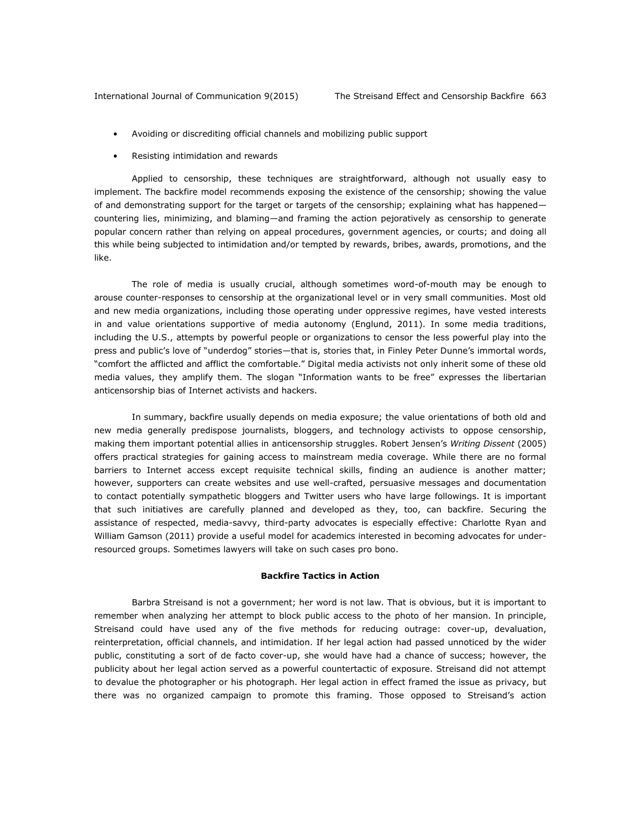- Avoiding or discrediting official channels and mobilizing public support
- Resisting intimidation and rewards

Applied to censorship, these techniques are straightforward, although not usually easy to implement. The backfire model recommends exposing the existence of the censorship; showing the value of and demonstrating support for the target or targets of the censorship; explaining what has happened countering lies, minimizing, and blaming—and framing the action pejoratively as censorship to generate popular concern rather than relying on appeal procedures, government agencies, or courts; and doing all this while being subjected to intimidation and/or tempted by rewards, bribes, awards, promotions, and the like.

The role of media is usually crucial, although sometimes word-of-mouth may be enough to arouse counter-responses to censorship at the organizational level or in very small communities. Most old and new media organizations, including those operating under oppressive regimes, have vested interests in and value orientations supportive of media autonomy (Englund, 2011). In some media traditions, including the U.S., attempts by powerful people or organizations to censor the less powerful play into the press and public's love of "underdog" stories—that is, stories that, in Finley Peter Dunne's immortal words, "comfort the afflicted and afflict the comfortable." Digital media activists not only inherit some of these old media values, they amplify them. The slogan "Information wants to be free" expresses the libertarian anticensorship bias of Internet activists and hackers.

In summary, backfire usually depends on media exposure; the value orientations of both old and new media generally predispose journalists, bloggers, and technology activists to oppose censorship, making them important potential allies in anticensorship struggles. Robert Jensen's *Writing Dissent* (2005) offers practical strategies for gaining access to mainstream media coverage. While there are no formal barriers to Internet access except requisite technical skills, finding an audience is another matter; however, supporters can create websites and use well-crafted, persuasive messages and documentation to contact potentially sympathetic bloggers and Twitter users who have large followings. It is important that such initiatives are carefully planned and developed as they, too, can backfire. Securing the assistance of respected, media-savvy, third-party advocates is especially effective: Charlotte Ryan and William Gamson (2011) provide a useful model for academics interested in becoming advocates for underresourced groups. Sometimes lawyers will take on such cases pro bono.

## **Backfire Tactics in Action**

Barbra Streisand is not a government; her word is not law. That is obvious, but it is important to remember when analyzing her attempt to block public access to the photo of her mansion. In principle, Streisand could have used any of the five methods for reducing outrage: cover-up, devaluation, reinterpretation, official channels, and intimidation. If her legal action had passed unnoticed by the wider public, constituting a sort of de facto cover-up, she would have had a chance of success; however, the publicity about her legal action served as a powerful countertactic of exposure. Streisand did not attempt to devalue the photographer or his photograph. Her legal action in effect framed the issue as privacy, but there was no organized campaign to promote this framing. Those opposed to Streisand's action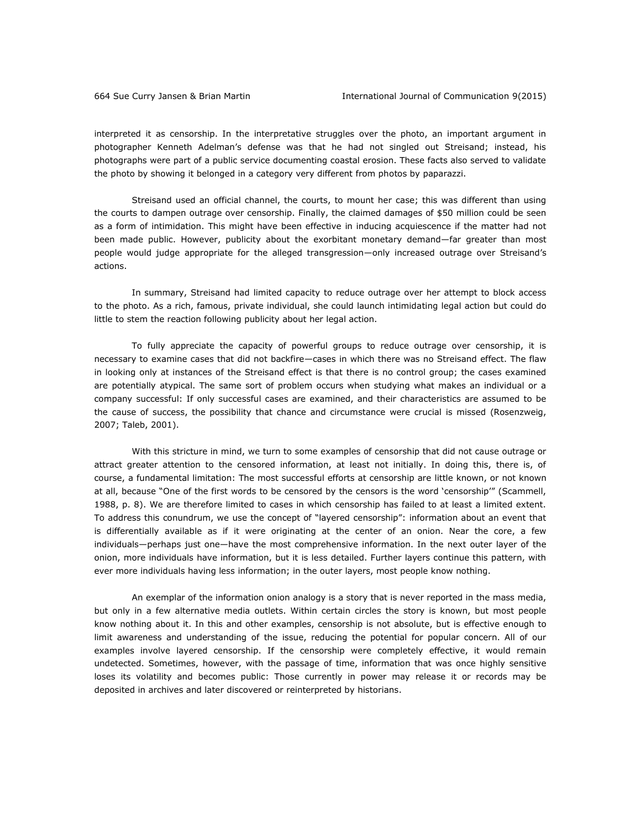interpreted it as censorship. In the interpretative struggles over the photo, an important argument in photographer Kenneth Adelman's defense was that he had not singled out Streisand; instead, his photographs were part of a public service documenting coastal erosion. These facts also served to validate the photo by showing it belonged in a category very different from photos by paparazzi.

Streisand used an official channel, the courts, to mount her case; this was different than using the courts to dampen outrage over censorship. Finally, the claimed damages of \$50 million could be seen as a form of intimidation. This might have been effective in inducing acquiescence if the matter had not been made public. However, publicity about the exorbitant monetary demand—far greater than most people would judge appropriate for the alleged transgression—only increased outrage over Streisand's actions.

In summary, Streisand had limited capacity to reduce outrage over her attempt to block access to the photo. As a rich, famous, private individual, she could launch intimidating legal action but could do little to stem the reaction following publicity about her legal action.

To fully appreciate the capacity of powerful groups to reduce outrage over censorship, it is necessary to examine cases that did not backfire—cases in which there was no Streisand effect. The flaw in looking only at instances of the Streisand effect is that there is no control group; the cases examined are potentially atypical. The same sort of problem occurs when studying what makes an individual or a company successful: If only successful cases are examined, and their characteristics are assumed to be the cause of success, the possibility that chance and circumstance were crucial is missed (Rosenzweig, 2007; Taleb, 2001).

With this stricture in mind, we turn to some examples of censorship that did not cause outrage or attract greater attention to the censored information, at least not initially. In doing this, there is, of course, a fundamental limitation: The most successful efforts at censorship are little known, or not known at all, because "One of the first words to be censored by the censors is the word 'censorship'" (Scammell, 1988, p. 8). We are therefore limited to cases in which censorship has failed to at least a limited extent. To address this conundrum, we use the concept of "layered censorship": information about an event that is differentially available as if it were originating at the center of an onion. Near the core, a few individuals—perhaps just one—have the most comprehensive information. In the next outer layer of the onion, more individuals have information, but it is less detailed. Further layers continue this pattern, with ever more individuals having less information; in the outer layers, most people know nothing.

An exemplar of the information onion analogy is a story that is never reported in the mass media, but only in a few alternative media outlets. Within certain circles the story is known, but most people know nothing about it. In this and other examples, censorship is not absolute, but is effective enough to limit awareness and understanding of the issue, reducing the potential for popular concern. All of our examples involve layered censorship. If the censorship were completely effective, it would remain undetected. Sometimes, however, with the passage of time, information that was once highly sensitive loses its volatility and becomes public: Those currently in power may release it or records may be deposited in archives and later discovered or reinterpreted by historians.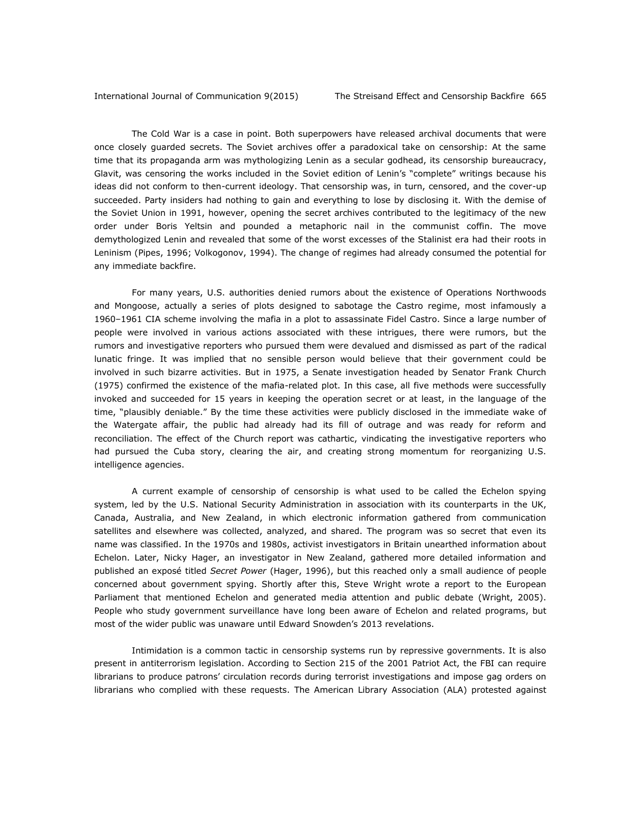The Cold War is a case in point. Both superpowers have released archival documents that were once closely guarded secrets. The Soviet archives offer a paradoxical take on censorship: At the same time that its propaganda arm was mythologizing Lenin as a secular godhead, its censorship bureaucracy, Glavit, was censoring the works included in the Soviet edition of Lenin's "complete" writings because his ideas did not conform to then-current ideology. That censorship was, in turn, censored, and the cover-up succeeded. Party insiders had nothing to gain and everything to lose by disclosing it. With the demise of the Soviet Union in 1991, however, opening the secret archives contributed to the legitimacy of the new order under Boris Yeltsin and pounded a metaphoric nail in the communist coffin. The move demythologized Lenin and revealed that some of the worst excesses of the Stalinist era had their roots in Leninism (Pipes, 1996; Volkogonov, 1994). The change of regimes had already consumed the potential for any immediate backfire.

For many years, U.S. authorities denied rumors about the existence of Operations Northwoods and Mongoose, actually a series of plots designed to sabotage the Castro regime, most infamously a 1960–1961 CIA scheme involving the mafia in a plot to assassinate Fidel Castro. Since a large number of people were involved in various actions associated with these intrigues, there were rumors, but the rumors and investigative reporters who pursued them were devalued and dismissed as part of the radical lunatic fringe. It was implied that no sensible person would believe that their government could be involved in such bizarre activities. But in 1975, a Senate investigation headed by Senator Frank Church (1975) confirmed the existence of the mafia-related plot. In this case, all five methods were successfully invoked and succeeded for 15 years in keeping the operation secret or at least, in the language of the time, "plausibly deniable." By the time these activities were publicly disclosed in the immediate wake of the Watergate affair, the public had already had its fill of outrage and was ready for reform and reconciliation. The effect of the Church report was cathartic, vindicating the investigative reporters who had pursued the Cuba story, clearing the air, and creating strong momentum for reorganizing U.S. intelligence agencies.

A current example of censorship of censorship is what used to be called the Echelon spying system, led by the U.S. National Security Administration in association with its counterparts in the UK, Canada, Australia, and New Zealand, in which electronic information gathered from communication satellites and elsewhere was collected, analyzed, and shared. The program was so secret that even its name was classified. In the 1970s and 1980s, activist investigators in Britain unearthed information about Echelon. Later, Nicky Hager, an investigator in New Zealand, gathered more detailed information and published an exposé titled *Secret Power* (Hager, 1996), but this reached only a small audience of people concerned about government spying. Shortly after this, Steve Wright wrote a report to the European Parliament that mentioned Echelon and generated media attention and public debate (Wright, 2005). People who study government surveillance have long been aware of Echelon and related programs, but most of the wider public was unaware until Edward Snowden's 2013 revelations.

Intimidation is a common tactic in censorship systems run by repressive governments. It is also present in antiterrorism legislation. According to Section 215 of the 2001 Patriot Act, the FBI can require librarians to produce patrons' circulation records during terrorist investigations and impose gag orders on librarians who complied with these requests. The American Library Association (ALA) protested against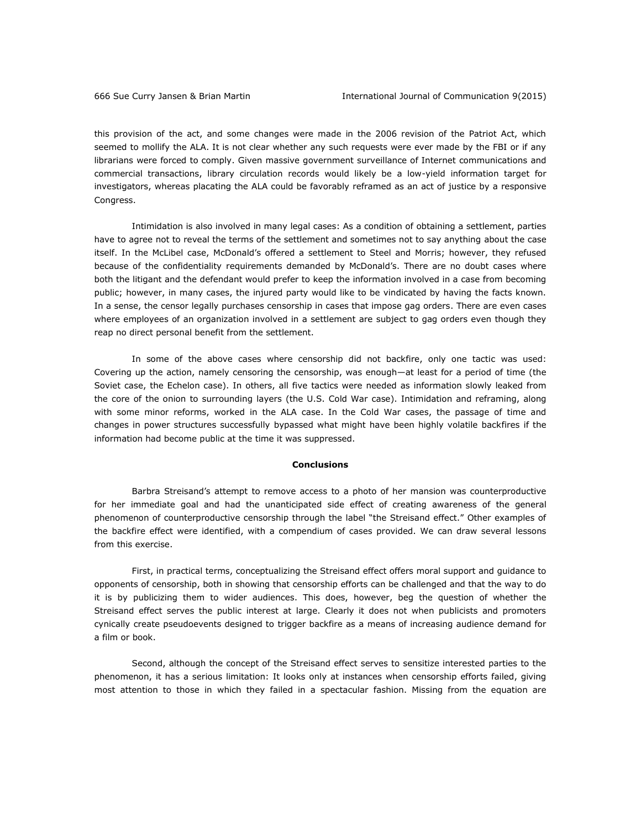this provision of the act, and some changes were made in the 2006 revision of the Patriot Act, which seemed to mollify the ALA. It is not clear whether any such requests were ever made by the FBI or if any librarians were forced to comply. Given massive government surveillance of Internet communications and commercial transactions, library circulation records would likely be a low-yield information target for investigators, whereas placating the ALA could be favorably reframed as an act of justice by a responsive Congress.

Intimidation is also involved in many legal cases: As a condition of obtaining a settlement, parties have to agree not to reveal the terms of the settlement and sometimes not to say anything about the case itself. In the McLibel case, McDonald's offered a settlement to Steel and Morris; however, they refused because of the confidentiality requirements demanded by McDonald's. There are no doubt cases where both the litigant and the defendant would prefer to keep the information involved in a case from becoming public; however, in many cases, the injured party would like to be vindicated by having the facts known. In a sense, the censor legally purchases censorship in cases that impose gag orders. There are even cases where employees of an organization involved in a settlement are subject to gag orders even though they reap no direct personal benefit from the settlement.

In some of the above cases where censorship did not backfire, only one tactic was used: Covering up the action, namely censoring the censorship, was enough—at least for a period of time (the Soviet case, the Echelon case). In others, all five tactics were needed as information slowly leaked from the core of the onion to surrounding layers (the U.S. Cold War case). Intimidation and reframing, along with some minor reforms, worked in the ALA case. In the Cold War cases, the passage of time and changes in power structures successfully bypassed what might have been highly volatile backfires if the information had become public at the time it was suppressed.

### **Conclusions**

Barbra Streisand's attempt to remove access to a photo of her mansion was counterproductive for her immediate goal and had the unanticipated side effect of creating awareness of the general phenomenon of counterproductive censorship through the label "the Streisand effect." Other examples of the backfire effect were identified, with a compendium of cases provided. We can draw several lessons from this exercise.

First, in practical terms, conceptualizing the Streisand effect offers moral support and guidance to opponents of censorship, both in showing that censorship efforts can be challenged and that the way to do it is by publicizing them to wider audiences. This does, however, beg the question of whether the Streisand effect serves the public interest at large. Clearly it does not when publicists and promoters cynically create pseudoevents designed to trigger backfire as a means of increasing audience demand for a film or book.

Second, although the concept of the Streisand effect serves to sensitize interested parties to the phenomenon, it has a serious limitation: It looks only at instances when censorship efforts failed, giving most attention to those in which they failed in a spectacular fashion. Missing from the equation are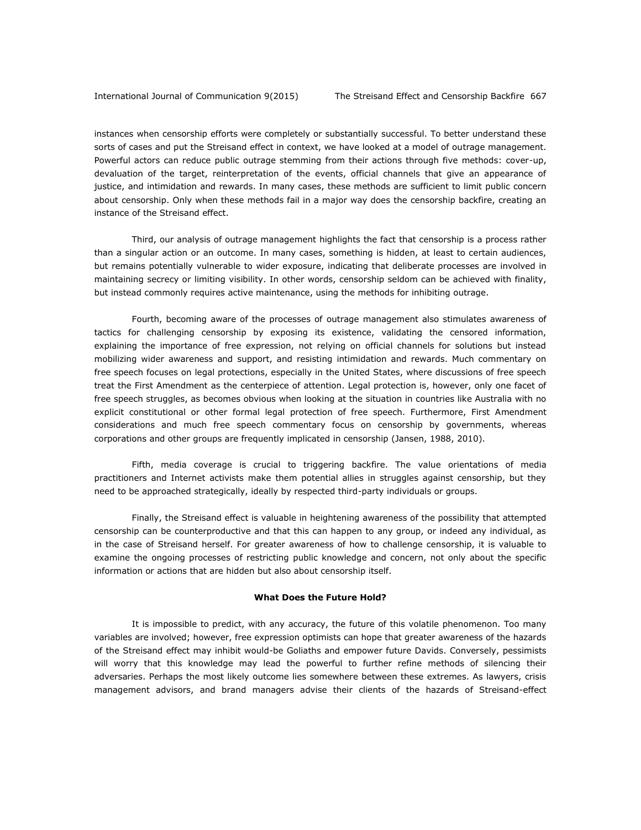instances when censorship efforts were completely or substantially successful. To better understand these sorts of cases and put the Streisand effect in context, we have looked at a model of outrage management. Powerful actors can reduce public outrage stemming from their actions through five methods: cover-up, devaluation of the target, reinterpretation of the events, official channels that give an appearance of justice, and intimidation and rewards. In many cases, these methods are sufficient to limit public concern about censorship. Only when these methods fail in a major way does the censorship backfire, creating an instance of the Streisand effect.

Third, our analysis of outrage management highlights the fact that censorship is a process rather than a singular action or an outcome. In many cases, something is hidden, at least to certain audiences, but remains potentially vulnerable to wider exposure, indicating that deliberate processes are involved in maintaining secrecy or limiting visibility. In other words, censorship seldom can be achieved with finality, but instead commonly requires active maintenance, using the methods for inhibiting outrage.

Fourth, becoming aware of the processes of outrage management also stimulates awareness of tactics for challenging censorship by exposing its existence, validating the censored information, explaining the importance of free expression, not relying on official channels for solutions but instead mobilizing wider awareness and support, and resisting intimidation and rewards. Much commentary on free speech focuses on legal protections, especially in the United States, where discussions of free speech treat the First Amendment as the centerpiece of attention. Legal protection is, however, only one facet of free speech struggles, as becomes obvious when looking at the situation in countries like Australia with no explicit constitutional or other formal legal protection of free speech. Furthermore, First Amendment considerations and much free speech commentary focus on censorship by governments, whereas corporations and other groups are frequently implicated in censorship (Jansen, 1988, 2010).

Fifth, media coverage is crucial to triggering backfire. The value orientations of media practitioners and Internet activists make them potential allies in struggles against censorship, but they need to be approached strategically, ideally by respected third-party individuals or groups.

Finally, the Streisand effect is valuable in heightening awareness of the possibility that attempted censorship can be counterproductive and that this can happen to any group, or indeed any individual, as in the case of Streisand herself. For greater awareness of how to challenge censorship, it is valuable to examine the ongoing processes of restricting public knowledge and concern, not only about the specific information or actions that are hidden but also about censorship itself.

## **What Does the Future Hold?**

It is impossible to predict, with any accuracy, the future of this volatile phenomenon. Too many variables are involved; however, free expression optimists can hope that greater awareness of the hazards of the Streisand effect may inhibit would-be Goliaths and empower future Davids. Conversely, pessimists will worry that this knowledge may lead the powerful to further refine methods of silencing their adversaries. Perhaps the most likely outcome lies somewhere between these extremes. As lawyers, crisis management advisors, and brand managers advise their clients of the hazards of Streisand-effect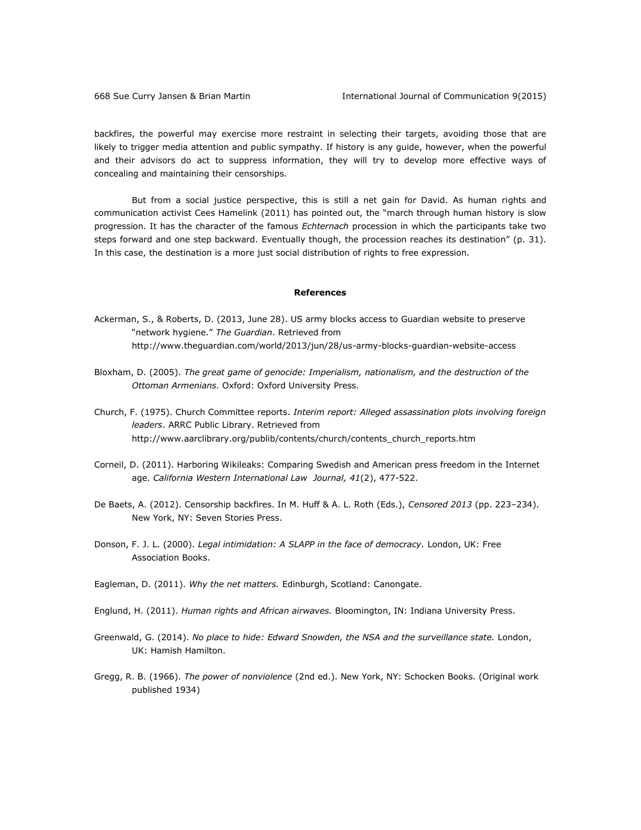backfires, the powerful may exercise more restraint in selecting their targets, avoiding those that are likely to trigger media attention and public sympathy. If history is any guide, however, when the powerful and their advisors do act to suppress information, they will try to develop more effective ways of concealing and maintaining their censorships.

But from a social justice perspective, this is still a net gain for David. As human rights and communication activist Cees Hamelink (2011) has pointed out, the "march through human history is slow progression. It has the character of the famous *Echternach* procession in which the participants take two steps forward and one step backward. Eventually though, the procession reaches its destination" (p. 31). In this case, the destination is a more just social distribution of rights to free expression.

### **References**

- Ackerman, S., & Roberts, D. (2013, June 28). US army blocks access to Guardian website to preserve "network hygiene." *The Guardian*. Retrieved from <http://www.theguardian.com/world/2013/jun/28/us-army-blocks-guardian-website-access>
- Bloxham, D. (2005). *The great game of genocide: Imperialism, nationalism, and the destruction of the Ottoman Armenians.* Oxford: Oxford University Press.
- Church, F. (1975). Church Committee reports. *Interim report: Alleged assassination plots involving foreign leaders*. ARRC Public Library. Retrieved from [http://www.aarclibrary.org/publib/contents/church/contents\\_church\\_reports.htm](http://www.aarclibrary.org/publib/contents/church/contents_church_reports.htm)
- Corneil, D. (2011). Harboring Wikileaks: Comparing Swedish and American press freedom in the Internet age. *California Western International Law Journal, 41*(2), 477-522.
- De Baets, A. (2012). Censorship backfires. In M. Huff & A. L. Roth (Eds.), *Censored 2013* (pp. 223–234). New York, NY: Seven Stories Press.
- Donson, F. J. L. (2000). *Legal intimidation: A SLAPP in the face of democracy.* London, UK: Free Association Books.
- Eagleman, D. (2011). *Why the net matters.* Edinburgh, Scotland: Canongate.
- Englund, H. (2011). *Human rights and African airwaves.* Bloomington, IN: Indiana University Press.
- Greenwald, G. (2014). *No place to hide: Edward Snowden, the NSA and the surveillance state.* London, UK: Hamish Hamilton.
- Gregg, R. B. (1966). *The power of nonviolence* (2nd ed.). New York, NY: Schocken Books. (Original work published 1934)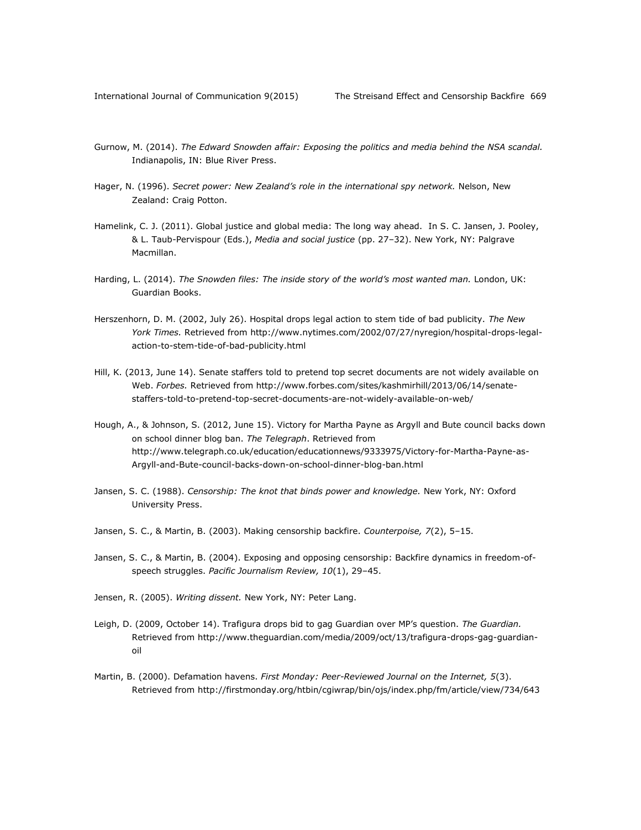- Gurnow, M. (2014). *The Edward Snowden affair: Exposing the politics and media behind the NSA scandal.*  Indianapolis, IN: Blue River Press.
- Hager, N. (1996). *Secret power: New Zealand's role in the international spy network.* Nelson, New Zealand: Craig Potton.
- Hamelink, C. J. (2011). Global justice and global media: The long way ahead. In S. C. Jansen, J. Pooley, & L. Taub-Pervispour (Eds.), *Media and social justice* (pp. 27–32). New York, NY: Palgrave Macmillan.
- Harding, L. (2014). *The Snowden files: The inside story of the world's most wanted man.* London, UK: Guardian Books.
- Herszenhorn, D. M. (2002, July 26). Hospital drops legal action to stem tide of bad publicity. *The New York Times.* Retrieved from [http://www.nytimes.com/2002/07/27/nyregion/hospital-drops-legal](http://www.nytimes.com/2002/07/27/nyregion/hospital-drops-legal-action-to-stem-tide-of-bad-publicity.html)[action-to-stem-tide-of-bad-publicity.html](http://www.nytimes.com/2002/07/27/nyregion/hospital-drops-legal-action-to-stem-tide-of-bad-publicity.html)
- Hill, K. (2013, June 14). Senate staffers told to pretend top secret documents are not widely available on Web. *Forbes.* Retrieved fro[m http://www.forbes.com/sites/kashmirhill/2013/06/14/senate](http://www.forbes.com/sites/kashmirhill/2013/06/14/senate-staffers-told-to-pretend-top-secret-documents-are-not-widely-available-on-web/)[staffers-told-to-pretend-top-secret-documents-are-not-widely-available-on-web/](http://www.forbes.com/sites/kashmirhill/2013/06/14/senate-staffers-told-to-pretend-top-secret-documents-are-not-widely-available-on-web/)
- Hough, A., & Johnson, S. (2012, June 15). Victory for Martha Payne as Argyll and Bute council backs down on school dinner blog ban. *The Telegraph*. Retrieved from [http://www.telegraph.co.uk/education/educationnews/9333975/Victory-for-Martha-Payne-as-](http://www.telegraph.co.uk/education/educationnews/9333975/Victory-for-Martha-Payne-as-Argyll-and-Bute-council-backs-down-on-school-dinner-blog-ban.html)[Argyll-and-Bute-council-backs-down-on-school-dinner-blog-ban.html](http://www.telegraph.co.uk/education/educationnews/9333975/Victory-for-Martha-Payne-as-Argyll-and-Bute-council-backs-down-on-school-dinner-blog-ban.html)
- Jansen, S. C. (1988). *Censorship: The knot that binds power and knowledge.* New York, NY: Oxford University Press.
- Jansen, S. C., & Martin, B. (2003). Making censorship backfire. *Counterpoise, 7*(2), 5–15.
- Jansen, S. C., & Martin, B. (2004). Exposing and opposing censorship: Backfire dynamics in freedom-ofspeech struggles. *Pacific Journalism Review, 10*(1), 29–45.
- Jensen, R. (2005). *Writing dissent.* New York, NY: Peter Lang.
- Leigh, D. (2009, October 14). Trafigura drops bid to gag Guardian over MP's question. *The Guardian.*  Retrieved from [http://www.theguardian.com/media/2009/oct/13/trafigura-drops-gag-guardian](http://www.theguardian.com/media/2009/oct/13/trafigura-drops-gag-guardian-oil)[oil](http://www.theguardian.com/media/2009/oct/13/trafigura-drops-gag-guardian-oil)
- Martin, B. (2000). Defamation havens. *First Monday: Peer-Reviewed Journal on the Internet, 5*(3). Retrieved from<http://firstmonday.org/htbin/cgiwrap/bin/ojs/index.php/fm/article/view/734/643>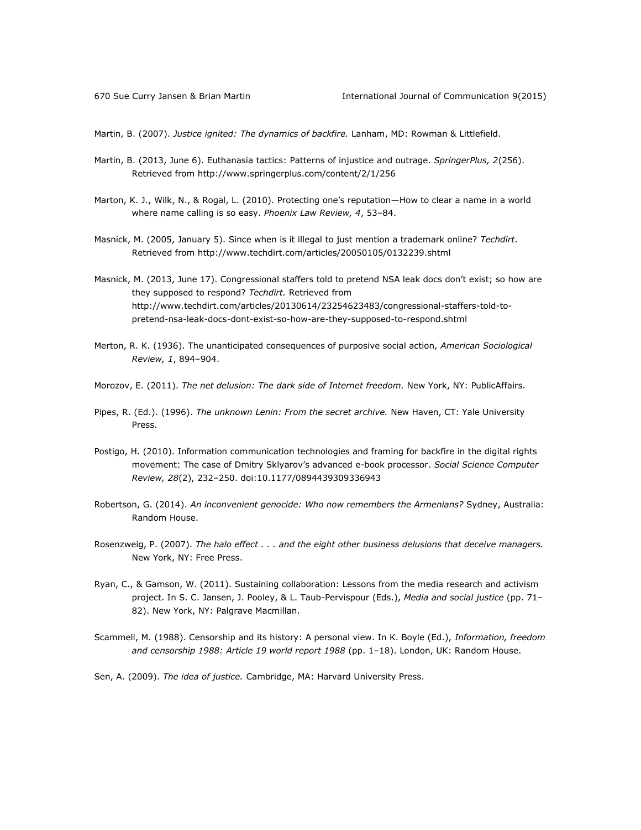Martin, B. (2007). *Justice ignited: The dynamics of backfire.* Lanham, MD: Rowman & Littlefield.

- Martin, B. (2013, June 6). Euthanasia tactics: Patterns of injustice and outrage. *SpringerPlus, 2*(256). Retrieved from<http://www.springerplus.com/content/2/1/256>
- Marton, K. J., Wilk, N., & Rogal, L. (2010). Protecting one's reputation—How to clear a name in a world where name calling is so easy. *Phoenix Law Review, 4*, 53–84.
- Masnick, M. (2005, January 5). Since when is it illegal to just mention a trademark online? *Techdirt*. Retrieved from<http://www.techdirt.com/articles/20050105/0132239.shtml>
- Masnick, M. (2013, June 17). Congressional staffers told to pretend NSA leak docs don't exist; so how are they supposed to respond? *Techdirt.* Retrieved from [http://www.techdirt.com/articles/20130614/23254623483/congressional-staffers-told-to](http://www.techdirt.com/articles/20130614/23254623483/congressional-staffers-told-to-pretend-nsa-leak-docs-dont-exist-so-how-are-they-supposed-to-respond.shtml)[pretend-nsa-leak-docs-dont-exist-so-how-are-they-supposed-to-respond.shtml](http://www.techdirt.com/articles/20130614/23254623483/congressional-staffers-told-to-pretend-nsa-leak-docs-dont-exist-so-how-are-they-supposed-to-respond.shtml)
- Merton, R. K. (1936). The unanticipated consequences of purposive social action, *American Sociological Review, 1*, 894–904.
- Morozov, E. (2011). *The net delusion: The dark side of Internet freedom.* New York, NY: PublicAffairs.
- Pipes, R. (Ed.). (1996). *The unknown Lenin: From the secret archive.* New Haven, CT: Yale University Press.
- Postigo, H. (2010). Information communication technologies and framing for backfire in the digital rights movement: The case of Dmitry Sklyarov's advanced e-book processor. *Social Science Computer Review, 28*(2), 232–250. doi:10.1177/0894439309336943
- Robertson, G. (2014). *An inconvenient genocide: Who now remembers the Armenians?* Sydney, Australia: Random House.
- Rosenzweig, P. (2007). *The halo effect . . . and the eight other business delusions that deceive managers.*  New York, NY: Free Press.
- Ryan, C., & Gamson, W. (2011). Sustaining collaboration: Lessons from the media research and activism project. In S. C. Jansen, J. Pooley, & L. Taub-Pervispour (Eds.), *Media and social justice* (pp. 71– 82). New York, NY: Palgrave Macmillan.
- Scammell, M. (1988). Censorship and its history: A personal view. In K. Boyle (Ed.), *Information, freedom and censorship 1988: Article 19 world report 1988* (pp. 1–18). London, UK: Random House.
- Sen, A. (2009). *The idea of justice.* Cambridge, MA: Harvard University Press.